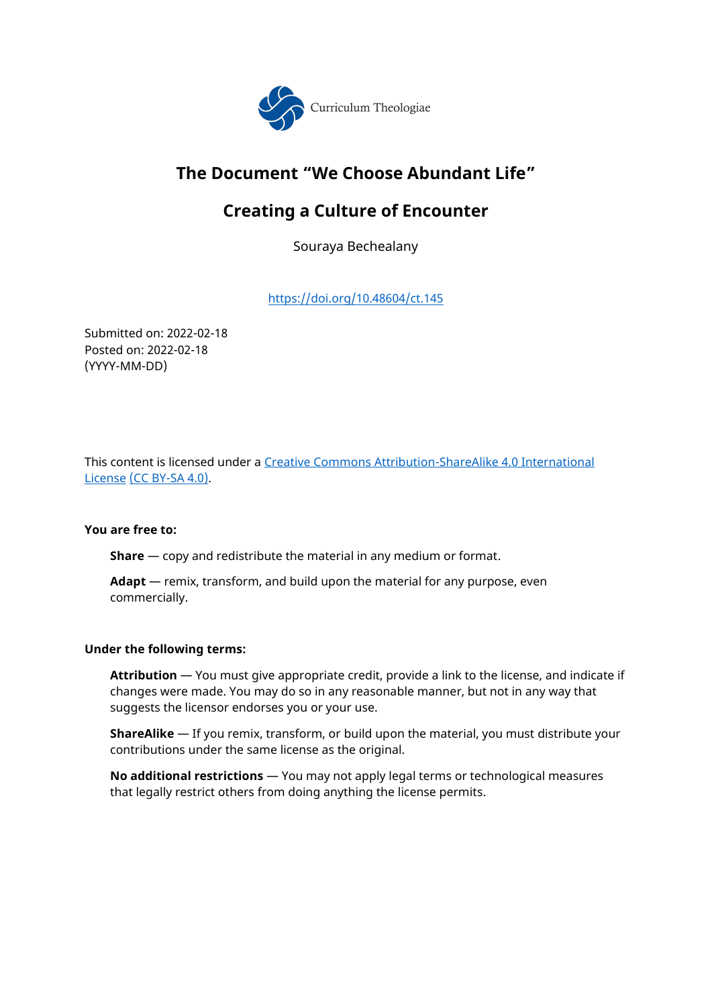

# **The Document "We Choose Abundant Life"**

# **Creating a Culture of Encounter**

Souraya Bechealany

[https://doi.org/10.48604/ct.](https://doi.org/10.48604/ct.37)145

Submitted on: 2022-02-18 Posted on: 2022-02-18 (YYYY-MM-DD)

This content is licensed under a [Creative Commons Attribution-ShareAlike 4.0 International](https://creativecommons.org/licenses/by-sa/4.0/)  [License](https://creativecommons.org/licenses/by-sa/4.0/) (CC BY-SA 4.0).

## **You are free to:**

**Share** — copy and redistribute the material in any medium or format.

**Adapt** — remix, transform, and build upon the material for any purpose, even commercially.

## **Under the following terms:**

**Attribution** — You must give appropriate credit, provide a link to the license, and indicate if changes were made. You may do so in any reasonable manner, but not in any way that suggests the licensor endorses you or your use.

**ShareAlike** — If you remix, transform, or build upon the material, you must distribute your contributions under the same license as the original.

**No additional restrictions** — You may not apply legal terms or technological measures that legally restrict others from doing anything the license permits.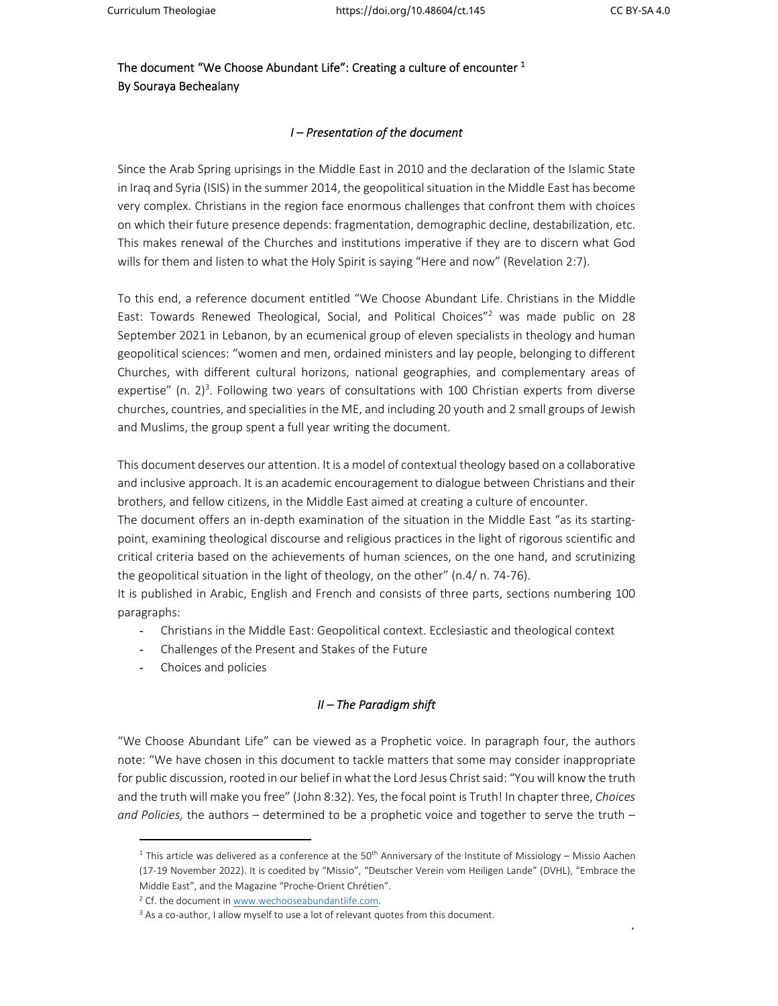1

The document "We Choose Abundant Life": Creating a culture of encounter  $^{\rm 1}$ By Souraya Bechealany

## *I – Presentation of the document*

Since the Arab Spring uprisings in the Middle East in 2010 and the declaration of the Islamic State in Iraq and Syria (ISIS) in the summer 2014, the geopolitical situation in the Middle East has become very complex. Christians in the region face enormous challenges that confront them with choices on which their future presence depends: fragmentation, demographic decline, destabilization, etc. This makes renewal of the Churches and institutions imperative if they are to discern what God wills for them and listen to what the Holy Spirit is saying "Here and now" (Revelation 2:7).

To this end, a reference document entitled "We Choose Abundant Life. Christians in the Middle East: Towards Renewed Theological, Social, and Political Choices"<sup>2</sup> was made public on 28 September 2021 in Lebanon, by an ecumenical group of eleven specialists in theology and human geopolitical sciences: "women and men, ordained ministers and lay people, belonging to different Churches, with different cultural horizons, national geographies, and complementary areas of expertise" (n.  $2$ )<sup>3</sup>. Following two years of consultations with 100 Christian experts from diverse churches, countries, and specialities in the ME, and including 20 youth and 2 small groups of Jewish and Muslims, the group spent a full year writing the document.

This document deserves our attention. It is a model of contextual theology based on a collaborative and inclusive approach. It is an academic encouragement to dialogue between Christians and their brothers, and fellow citizens, in the Middle East aimed at creating a culture of encounter.

The document offers an in-depth examination of the situation in the Middle East "as its startingpoint, examining theological discourse and religious practices in the light of rigorous scientific and critical criteria based on the achievements of human sciences, on the one hand, and scrutinizing the geopolitical situation in the light of theology, on the other" (n.4/ n. 74‐76).

It is published in Arabic, English and French and consists of three parts, sections numbering 100 paragraphs:

- Christians in the Middle East: Geopolitical context. Ecclesiastic and theological context
- Challenges of the Present and Stakes of the Future
- Choices and policies

## *II – The Paradigm shift*

"We Choose Abundant Life" can be viewed as a Prophetic voice. In paragraph four, the authors note: "We have chosen in this document to tackle matters that some may consider inappropriate for public discussion, rooted in our belief in what the Lord Jesus Christ said: "You will know the truth and the truth will make you free" (John 8:32). Yes, the focal point is Truth! In chapter three, *Choices and Policies,* the authors – determined to be a prophetic voice and together to serve the truth –

<sup>&</sup>lt;sup>1</sup> This article was delivered as a conference at the 50<sup>th</sup> Anniversary of the Institute of Missiology – Missio Aachen (17‐19 November 2022). It is coedited by "Missio", "Deutscher Verein vom Heiligen Lande" (DVHL), "Embrace the Middle East", and the Magazine "Proche‐Orient Chrétien".

<sup>&</sup>lt;sup>2</sup> Cf. the document in www.wechooseabundantlife.com.

<sup>&</sup>lt;sup>3</sup> As a co-author, I allow myself to use a lot of relevant quotes from this document.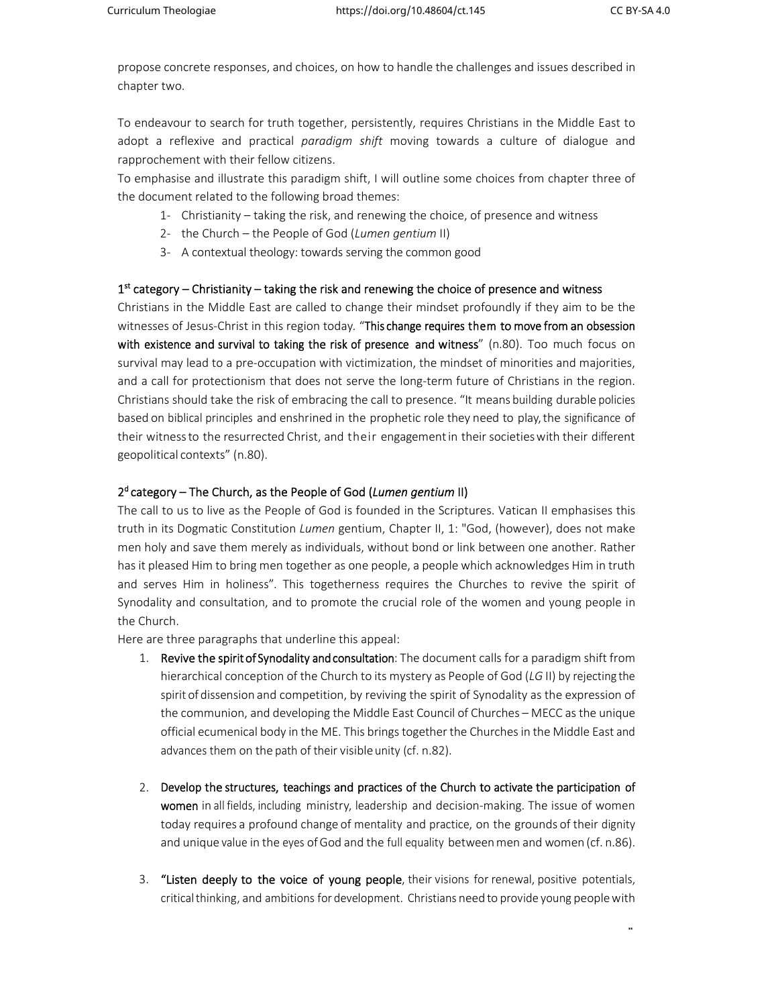2

propose concrete responses, and choices, on how to handle the challenges and issues described in chapter two.

To endeavour to search for truth together, persistently, requires Christians in the Middle East to adopt a reflexive and practical *paradigm shift* moving towards a culture of dialogue and rapprochement with their fellow citizens.

To emphasise and illustrate this paradigm shift, I will outline some choices from chapter three of the document related to the following broad themes:

- 1‐ Christianity taking the risk, and renewing the choice, of presence and witness
- 2‐ the Church the People of God (*Lumen gentium* II)
- 3‐ A contextual theology: towards serving the common good

### $1<sup>st</sup>$  category – Christianity – taking the risk and renewing the choice of presence and witness

Christians in the Middle East are called to change their mindset profoundly if they aim to be the witnesses of Jesus‐Christ in this region today*.* "This change requires them to move from an obsession with existence and survival to taking the risk of presence and witness" (n.80). Too much focus on survival may lead to a pre-occupation with victimization, the mindset of minorities and majorities, and a call for protectionism that does not serve the long-term future of Christians in the region. Christians should take the risk of embracing the call to presence. "It means building durable policies based on biblical principles and enshrined in the prophetic role they need to play, the significance of their witness to the resurrected Christ, and their engagement in their societies with their different geopolitical contexts" (n.80).

### 2d category – The Church, as the People of God (*Lumen gentium* II)

The call to us to live as the People of God is founded in the Scriptures. Vatican II emphasises this truth in its Dogmatic Constitution *Lumen* gentium, Chapter II, 1: "God, (however), does not make men holy and save them merely as individuals, without bond or link between one another. Rather has it pleased Him to bring men together as one people, a people which acknowledges Him in truth and serves Him in holiness". This togetherness requires the Churches to revive the spirit of Synodality and consultation, and to promote the crucial role of the women and young people in the Church.

Here are three paragraphs that underline this appeal:

- 1. Revive the spirit of Synodality and consultation: The document calls for a paradigm shift from hierarchical conception of the Church to its mystery as People of God (*LG* II) by rejecting the spirit of dissension and competition, by reviving the spirit of Synodality as the expression of the communion, and developing the Middle East Council of Churches – MECC as the unique official ecumenical body in the ME. This brings together the Churches in the Middle East and advances them on the path of their visible unity (cf. n.82).
- 2. Develop the structures, teachings and practices of the Church to activate the participation of women in all fields, including ministry, leadership and decision-making. The issue of women today requires a profound change of mentality and practice, on the grounds of their dignity and unique value in the eyes of God and the full equality between men and women (cf. n.86).
- 3. "Listen deeply to the voice of young people, their visions for renewal, positive potentials, critical thinking, and ambitions for development. Christians need to provide young people with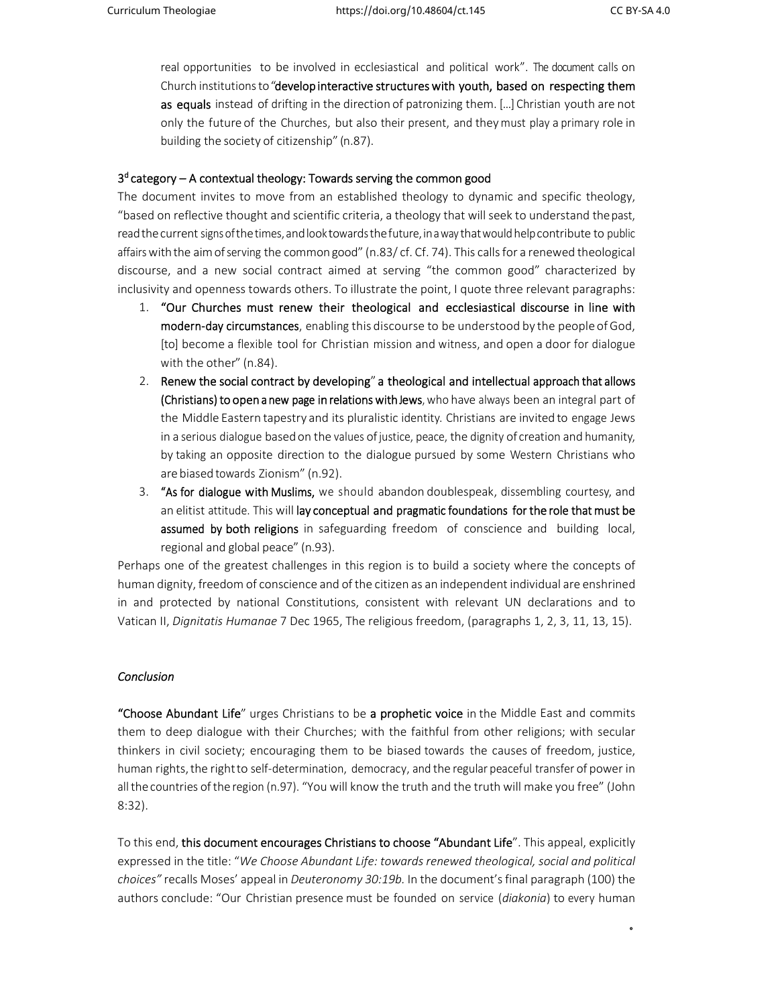$\ddot{\phantom{0}}$ 

real opportunities to be involved in ecclesiastical and political work". The document calls on Church institutions to "develop interactive structures with youth, based on respecting them as equals instead of drifting in the direction of patronizing them. [...] Christian youth are not only the future of the Churches, but also their present, and they must play a primary role in building the society of citizenship" (n.87).

### $3<sup>d</sup>$  category – A contextual theology: Towards serving the common good

The document invites to move from an established theology to dynamic and specific theology, "based on reflective thought and scientific criteria, a theology that will seek to understand the past, read the current signs ofthetimes, andlooktowardsthefuture, inaway that would help contribute to public affairs with the aim of serving the common good" (n.83/ cf. Cf. 74). This calls for a renewed theological discourse, and a new social contract aimed at serving "the common good" characterized by inclusivity and openness towards others. To illustrate the point, I quote three relevant paragraphs:

- 1. "Our Churches must renew their theological and ecclesiastical discourse in line with modern-day circumstances, enabling this discourse to be understood by the people of God, [to] become a flexible tool for Christian mission and witness, and open a door for dialogue with the other" (n.84).
- 2. Renew the social contract by developing" a theological and intellectual approach that allows (Christians) to open a new page in relations with Jews, who have always been an integral part of the Middle Eastern tapestry and its pluralistic identity. Christians are invited to engage Jews in a serious dialogue based on the values of justice, peace, the dignity of creation and humanity, by taking an opposite direction to the dialogue pursued by some Western Christians who are biased towards Zionism" (n.92).
- 3. "As for dialogue with Muslims, we should abandon doublespeak, dissembling courtesy, and an elitist attitude. This will lay conceptual and pragmatic foundations for the role that must be assumed by both religions in safeguarding freedom of conscience and building local, regional and global peace" (n.93).

Perhaps one of the greatest challenges in this region is to build a society where the concepts of human dignity, freedom of conscience and of the citizen as an independent individual are enshrined in and protected by national Constitutions, consistent with relevant UN declarations and to Vatican II, *Dignitatis Humanae* 7 Dec 1965, The religious freedom, (paragraphs 1, 2, 3, 11, 13, 15).

### *Conclusion*

"Choose Abundant Life" urges Christians to be a prophetic voice in the Middle East and commits them to deep dialogue with their Churches; with the faithful from other religions; with secular thinkers in civil society; encouraging them to be biased towards the causes of freedom, justice, human rights, the right to self‐determination, democracy, and the regular peaceful transfer of power in all the countries of the region (n.97). "You will know the truth and the truth will make you free" (John 8:32).

To this end, this document encourages Christians to choose "Abundant Life". This appeal, explicitly expressed in the title: "*We Choose Abundant Life: towards renewed theological, social and political choices"* recalls Moses' appeal in *Deuteronomy 30:19b.* In the document's final paragraph (100) the authors conclude: "Our Christian presence must be founded on service (*diakonia*) to every human